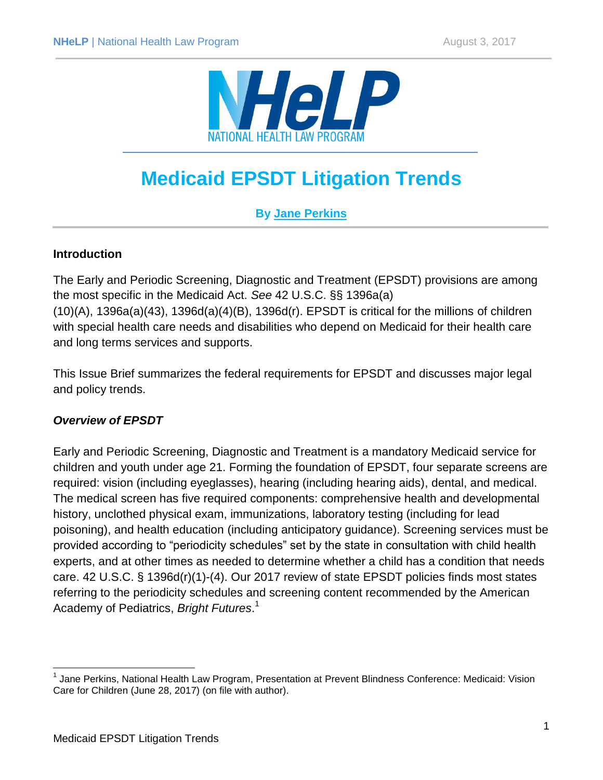

# **Medicaid EPSDT Litigation Trends**

## **By [Jane Perkins](http://www.healthlaw.org/about/staff/jane-perkins)**

#### **Introduction**

The Early and Periodic Screening, Diagnostic and Treatment (EPSDT) provisions are among the most specific in the Medicaid Act. *See* 42 U.S.C. §§ 1396a(a)  $(10)(A)$ , 1396a $(a)(43)$ , 1396d $(a)(4)(B)$ , 1396d $(r)$ . EPSDT is critical for the millions of children with special health care needs and disabilities who depend on Medicaid for their health care and long terms services and supports.

This Issue Brief summarizes the federal requirements for EPSDT and discusses major legal and policy trends.

#### *Overview of EPSDT*

Early and Periodic Screening, Diagnostic and Treatment is a mandatory Medicaid service for children and youth under age 21. Forming the foundation of EPSDT, four separate screens are required: vision (including eyeglasses), hearing (including hearing aids), dental, and medical. The medical screen has five required components: comprehensive health and developmental history, unclothed physical exam, immunizations, laboratory testing (including for lead poisoning), and health education (including anticipatory guidance). Screening services must be provided according to "periodicity schedules" set by the state in consultation with child health experts, and at other times as needed to determine whether a child has a condition that needs care. 42 U.S.C. § 1396d(r)(1)-(4). Our 2017 review of state EPSDT policies finds most states referring to the periodicity schedules and screening content recommended by the American Academy of Pediatrics, *Bright Futures*. 1

 $\overline{\phantom{a}}$ 

<sup>&</sup>lt;sup>1</sup> Jane Perkins, National Health Law Program, Presentation at Prevent Blindness Conference: Medicaid: Vision Care for Children (June 28, 2017) (on file with author).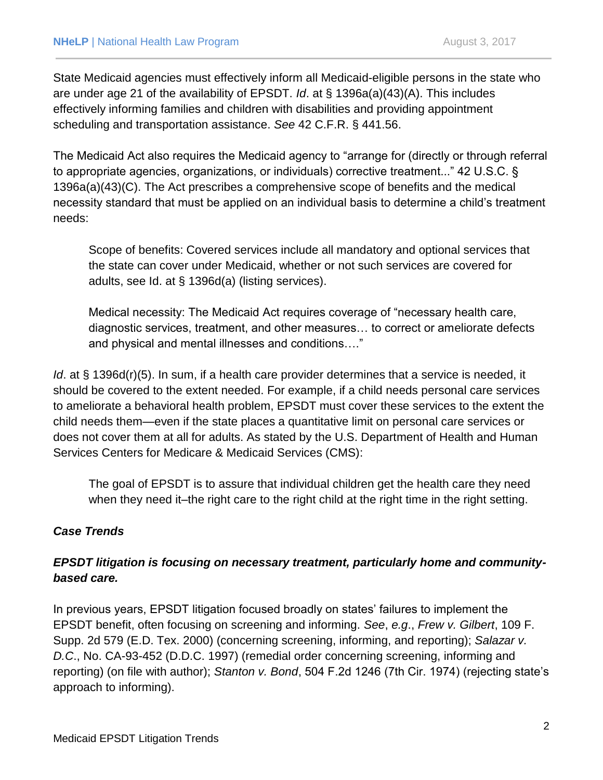State Medicaid agencies must effectively inform all Medicaid-eligible persons in the state who are under age 21 of the availability of EPSDT. *Id*. at § 1396a(a)(43)(A). This includes effectively informing families and children with disabilities and providing appointment scheduling and transportation assistance. *See* 42 C.F.R. § 441.56.

The Medicaid Act also requires the Medicaid agency to "arrange for (directly or through referral to appropriate agencies, organizations, or individuals) corrective treatment..." 42 U.S.C. § 1396a(a)(43)(C). The Act prescribes a comprehensive scope of benefits and the medical necessity standard that must be applied on an individual basis to determine a child's treatment needs:

Scope of benefits: Covered services include all mandatory and optional services that the state can cover under Medicaid, whether or not such services are covered for adults, see Id. at § 1396d(a) (listing services).

Medical necessity: The Medicaid Act requires coverage of "necessary health care, diagnostic services, treatment, and other measures… to correct or ameliorate defects and physical and mental illnesses and conditions…."

*Id*. at § 1396d(r)(5). In sum, if a health care provider determines that a service is needed, it should be covered to the extent needed. For example, if a child needs personal care services to ameliorate a behavioral health problem, EPSDT must cover these services to the extent the child needs them—even if the state places a quantitative limit on personal care services or does not cover them at all for adults. As stated by the U.S. Department of Health and Human Services Centers for Medicare & Medicaid Services (CMS):

The goal of EPSDT is to assure that individual children get the health care they need when they need it–the right care to the right child at the right time in the right setting.

### *Case Trends*

### *EPSDT litigation is focusing on necessary treatment, particularly home and communitybased care.*

In previous years, EPSDT litigation focused broadly on states' failures to implement the EPSDT benefit, often focusing on screening and informing. *See*, *e.g*., *Frew v. Gilbert*, 109 F. Supp. 2d 579 (E.D. Tex. 2000) (concerning screening, informing, and reporting); *Salazar v. D.C*., No. CA-93-452 (D.D.C. 1997) (remedial order concerning screening, informing and reporting) (on file with author); *Stanton v. Bond*, 504 F.2d 1246 (7th Cir. 1974) (rejecting state's approach to informing).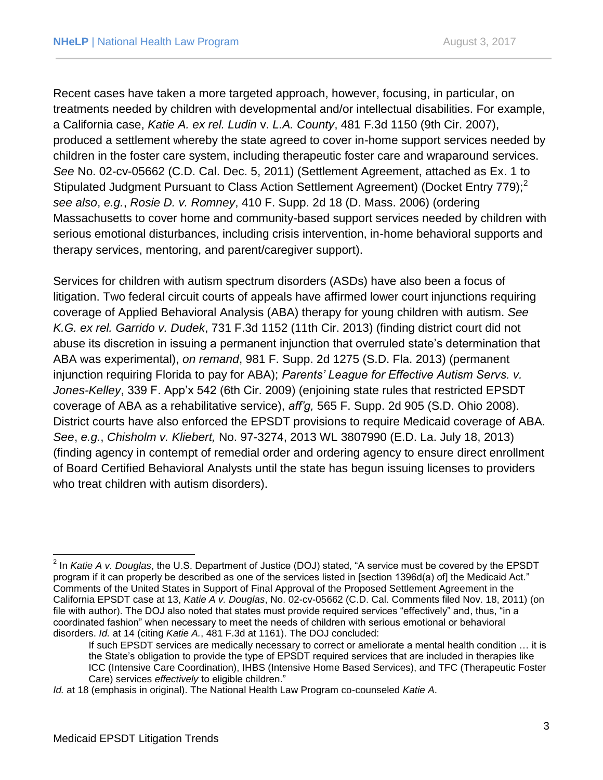Recent cases have taken a more targeted approach, however, focusing, in particular, on treatments needed by children with developmental and/or intellectual disabilities. For example, a California case, *Katie A. ex rel. Ludin* v. *L.A. County*, 481 F.3d 1150 (9th Cir. 2007), produced a settlement whereby the state agreed to cover in-home support services needed by children in the foster care system, including therapeutic foster care and wraparound services. *See* No. 02-cv-05662 (C.D. Cal. Dec. 5, 2011) (Settlement Agreement, attached as Ex. 1 to Stipulated Judgment Pursuant to Class Action Settlement Agreement) (Docket Entry 779);<sup>2</sup> *see also*, *e.g.*, *Rosie D. v. Romney*, 410 F. Supp. 2d 18 (D. Mass. 2006) (ordering Massachusetts to cover home and community-based support services needed by children with serious emotional disturbances, including crisis intervention, in-home behavioral supports and therapy services, mentoring, and parent/caregiver support).

Services for children with autism spectrum disorders (ASDs) have also been a focus of litigation. Two federal circuit courts of appeals have affirmed lower court injunctions requiring coverage of Applied Behavioral Analysis (ABA) therapy for young children with autism. *See K.G. ex rel. Garrido v. Dudek*, 731 F.3d 1152 (11th Cir. 2013) (finding district court did not abuse its discretion in issuing a permanent injunction that overruled state's determination that ABA was experimental), *on remand*, 981 F. Supp. 2d 1275 (S.D. Fla. 2013) (permanent injunction requiring Florida to pay for ABA); *Parents' League for Effective Autism Servs. v. Jones-Kelley*, 339 F. App'x 542 (6th Cir. 2009) (enjoining state rules that restricted EPSDT coverage of ABA as a rehabilitative service), *aff'g,* 565 F. Supp. 2d 905 (S.D. Ohio 2008). District courts have also enforced the EPSDT provisions to require Medicaid coverage of ABA. *See*, *e.g.*, *Chisholm v. Kliebert,* No. 97-3274, 2013 WL 3807990 (E.D. La. July 18, 2013) (finding agency in contempt of remedial order and ordering agency to ensure direct enrollment of Board Certified Behavioral Analysts until the state has begun issuing licenses to providers who treat children with autism disorders).

l 2 In *Katie A v. Douglas*, the U.S. Department of Justice (DOJ) stated, "A service must be covered by the EPSDT program if it can properly be described as one of the services listed in [section 1396d(a) of] the Medicaid Act." Comments of the United States in Support of Final Approval of the Proposed Settlement Agreement in the California EPSDT case at 13, *Katie A v. Douglas*, No. 02-cv-05662 (C.D. Cal. Comments filed Nov. 18, 2011) (on file with author). The DOJ also noted that states must provide required services "effectively" and, thus, "in a coordinated fashion" when necessary to meet the needs of children with serious emotional or behavioral disorders. *Id.* at 14 (citing *Katie A.*, 481 F.3d at 1161). The DOJ concluded:

If such EPSDT services are medically necessary to correct or ameliorate a mental health condition … it is the State's obligation to provide the type of EPSDT required services that are included in therapies like ICC (Intensive Care Coordination), IHBS (Intensive Home Based Services), and TFC (Therapeutic Foster Care) services *effectively* to eligible children."

*Id.* at 18 (emphasis in original). The National Health Law Program co-counseled *Katie A*.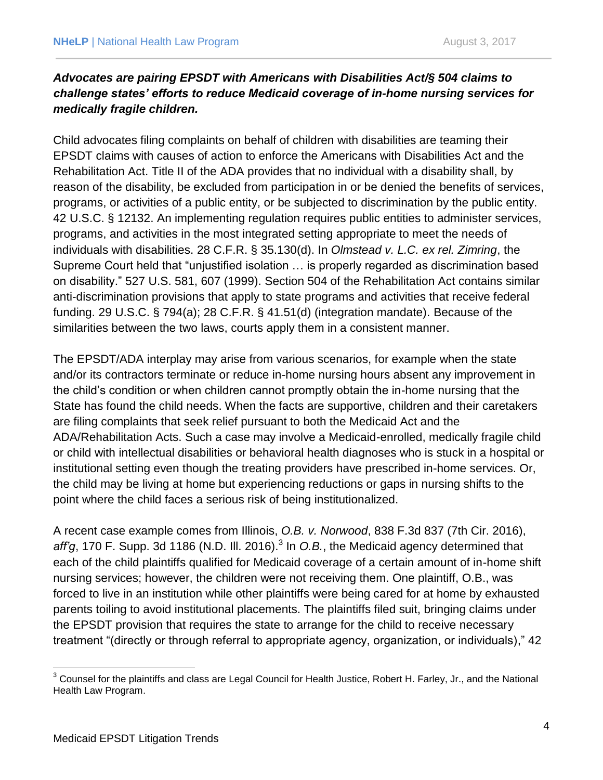#### *Advocates are pairing EPSDT with Americans with Disabilities Act/§ 504 claims to challenge states' efforts to reduce Medicaid coverage of in-home nursing services for medically fragile children.*

Child advocates filing complaints on behalf of children with disabilities are teaming their EPSDT claims with causes of action to enforce the Americans with Disabilities Act and the Rehabilitation Act. Title II of the ADA provides that no individual with a disability shall, by reason of the disability, be excluded from participation in or be denied the benefits of services, programs, or activities of a public entity, or be subjected to discrimination by the public entity. 42 U.S.C. § 12132. An implementing regulation requires public entities to administer services, programs, and activities in the most integrated setting appropriate to meet the needs of individuals with disabilities. 28 C.F.R. § 35.130(d). In *Olmstead v. L.C. ex rel. Zimring*, the Supreme Court held that "unjustified isolation … is properly regarded as discrimination based on disability." 527 U.S. 581, 607 (1999). Section 504 of the Rehabilitation Act contains similar anti-discrimination provisions that apply to state programs and activities that receive federal funding. 29 U.S.C. § 794(a); 28 C.F.R. § 41.51(d) (integration mandate). Because of the similarities between the two laws, courts apply them in a consistent manner.

The EPSDT/ADA interplay may arise from various scenarios, for example when the state and/or its contractors terminate or reduce in-home nursing hours absent any improvement in the child's condition or when children cannot promptly obtain the in-home nursing that the State has found the child needs. When the facts are supportive, children and their caretakers are filing complaints that seek relief pursuant to both the Medicaid Act and the ADA/Rehabilitation Acts. Such a case may involve a Medicaid-enrolled, medically fragile child or child with intellectual disabilities or behavioral health diagnoses who is stuck in a hospital or institutional setting even though the treating providers have prescribed in-home services. Or, the child may be living at home but experiencing reductions or gaps in nursing shifts to the point where the child faces a serious risk of being institutionalized.

A recent case example comes from Illinois, *O.B. v. Norwood*, 838 F.3d 837 (7th Cir. 2016), aff'g, 170 F. Supp. 3d 1186 (N.D. III. 2016).<sup>3</sup> In *O.B.*, the Medicaid agency determined that each of the child plaintiffs qualified for Medicaid coverage of a certain amount of in-home shift nursing services; however, the children were not receiving them. One plaintiff, O.B., was forced to live in an institution while other plaintiffs were being cared for at home by exhausted parents toiling to avoid institutional placements. The plaintiffs filed suit, bringing claims under the EPSDT provision that requires the state to arrange for the child to receive necessary treatment "(directly or through referral to appropriate agency, organization, or individuals)," 42

l

 $3$  Counsel for the plaintiffs and class are Legal Council for Health Justice, Robert H. Farley, Jr., and the National Health Law Program.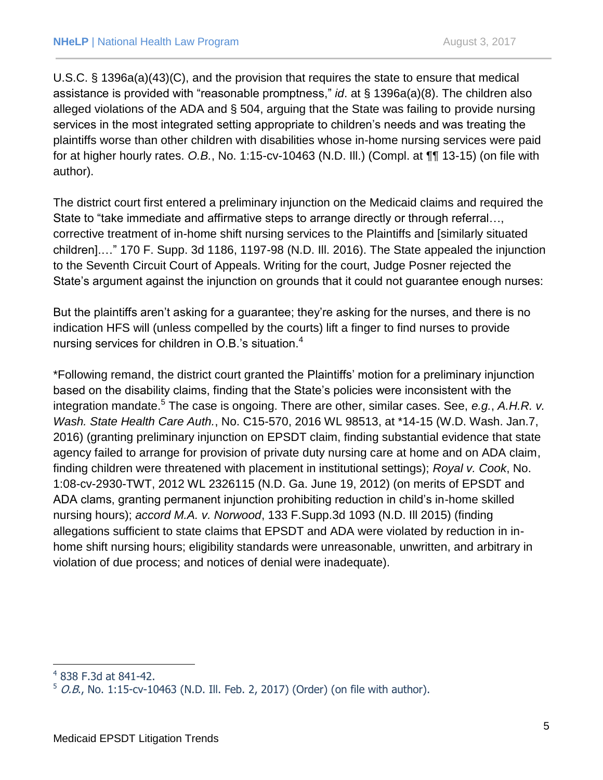U.S.C. § 1396a(a)(43)(C), and the provision that requires the state to ensure that medical assistance is provided with "reasonable promptness," *id*. at § 1396a(a)(8). The children also alleged violations of the ADA and § 504, arguing that the State was failing to provide nursing services in the most integrated setting appropriate to children's needs and was treating the plaintiffs worse than other children with disabilities whose in-home nursing services were paid for at higher hourly rates. *O.B.*, No. 1:15-cv-10463 (N.D. Ill.) (Compl. at ¶¶ 13-15) (on file with author).

The district court first entered a preliminary injunction on the Medicaid claims and required the State to "take immediate and affirmative steps to arrange directly or through referral…, corrective treatment of in-home shift nursing services to the Plaintiffs and [similarly situated children].…" 170 F. Supp. 3d 1186, 1197-98 (N.D. Ill. 2016). The State appealed the injunction to the Seventh Circuit Court of Appeals. Writing for the court, Judge Posner rejected the State's argument against the injunction on grounds that it could not guarantee enough nurses:

But the plaintiffs aren't asking for a guarantee; they're asking for the nurses, and there is no indication HFS will (unless compelled by the courts) lift a finger to find nurses to provide nursing services for children in O.B.'s situation.<sup>4</sup>

\*Following remand, the district court granted the Plaintiffs' motion for a preliminary injunction based on the disability claims, finding that the State's policies were inconsistent with the integration mandate.<sup>5</sup> The case is ongoing. There are other, similar cases. See, e.g., A.H.R. v. *Wash. State Health Care Auth.*, No. C15-570, 2016 WL 98513, at \*14-15 (W.D. Wash. Jan.7, 2016) (granting preliminary injunction on EPSDT claim, finding substantial evidence that state agency failed to arrange for provision of private duty nursing care at home and on ADA claim, finding children were threatened with placement in institutional settings); *Royal v. Cook*, No. 1:08-cv-2930-TWT, 2012 WL 2326115 (N.D. Ga. June 19, 2012) (on merits of EPSDT and ADA clams, granting permanent injunction prohibiting reduction in child's in-home skilled nursing hours); *accord M.A. v. Norwood*, 133 F.Supp.3d 1093 (N.D. Ill 2015) (finding allegations sufficient to state claims that EPSDT and ADA were violated by reduction in inhome shift nursing hours; eligibility standards were unreasonable, unwritten, and arbitrary in violation of due process; and notices of denial were inadequate).

 $\overline{\phantom{a}}$ 

<sup>4</sup> 838 F.3d at 841-42.

 $5$  O.B., No. 1:15-cv-10463 (N.D. Ill. Feb. 2, 2017) (Order) (on file with author).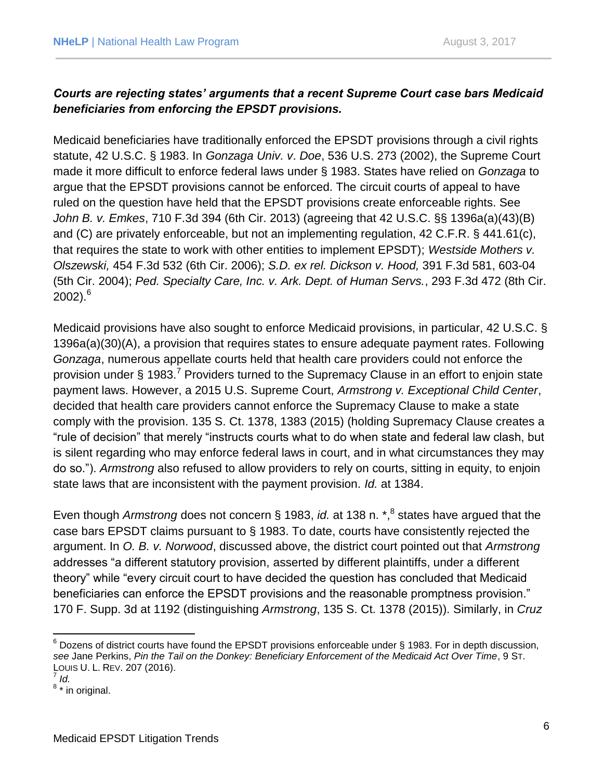### *Courts are rejecting states' arguments that a recent Supreme Court case bars Medicaid beneficiaries from enforcing the EPSDT provisions.*

Medicaid beneficiaries have traditionally enforced the EPSDT provisions through a civil rights statute, 42 U.S.C. § 1983. In *Gonzaga Univ. v*. *Doe*, 536 U.S. 273 (2002), the Supreme Court made it more difficult to enforce federal laws under § 1983. States have relied on *Gonzaga* to argue that the EPSDT provisions cannot be enforced. The circuit courts of appeal to have ruled on the question have held that the EPSDT provisions create enforceable rights. See *John B. v. Emkes*, 710 F.3d 394 (6th Cir. 2013) (agreeing that 42 U.S.C. §§ 1396a(a)(43)(B) and (C) are privately enforceable, but not an implementing regulation, 42 C.F.R. § 441.61(c), that requires the state to work with other entities to implement EPSDT); *Westside Mothers v. Olszewski,* 454 F.3d 532 (6th Cir. 2006); *S.D. ex rel. Dickson v. Hood,* 391 F.3d 581, 603-04 (5th Cir. 2004); *Ped. Specialty Care, Inc. v. Ark. Dept. of Human Servs.*, 293 F.3d 472 (8th Cir.  $2002$ ).<sup>6</sup>

Medicaid provisions have also sought to enforce Medicaid provisions, in particular, 42 U.S.C. § 1396a(a)(30)(A), a provision that requires states to ensure adequate payment rates. Following *Gonzaga*, numerous appellate courts held that health care providers could not enforce the provision under  $\S$  1983.<sup>7</sup> Providers turned to the Supremacy Clause in an effort to enjoin state payment laws. However, a 2015 U.S. Supreme Court, *Armstrong v. Exceptional Child Center*, decided that health care providers cannot enforce the Supremacy Clause to make a state comply with the provision. 135 S. Ct. 1378, 1383 (2015) (holding Supremacy Clause creates a "rule of decision" that merely "instructs courts what to do when state and federal law clash, but is silent regarding who may enforce federal laws in court, and in what circumstances they may do so."). *Armstrong* also refused to allow providers to rely on courts, sitting in equity, to enjoin state laws that are inconsistent with the payment provision. *Id.* at 1384.

Even though *Armstrong* does not concern § 1983, *id.* at 138 n. \*, 8 states have argued that the case bars EPSDT claims pursuant to § 1983. To date, courts have consistently rejected the argument. In *O. B. v. Norwood*, discussed above, the district court pointed out that *Armstrong* addresses "a different statutory provision, asserted by different plaintiffs, under a different theory" while "every circuit court to have decided the question has concluded that Medicaid beneficiaries can enforce the EPSDT provisions and the reasonable promptness provision." 170 F. Supp. 3d at 1192 (distinguishing *Armstrong*, 135 S. Ct. 1378 (2015)). Similarly, in *Cruz* 

 $\overline{a}$ 

 $6$  Dozens of district courts have found the EPSDT provisions enforceable under § 1983. For in depth discussion, *see* Jane Perkins, *Pin the Tail on the Donkey: Beneficiary Enforcement of the Medicaid Act Over Time*, 9 ST. LOUIS U. L. REV. 207 (2016).

<sup>7</sup> *Id.*  <sup>8</sup> \* in original.